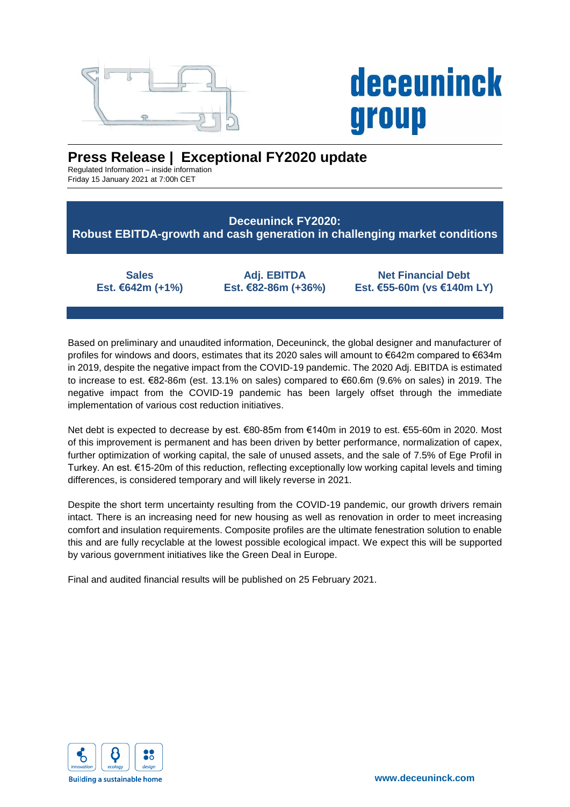

# **deceuninck** group

## **Press Release | Exceptional FY2020 update**

Regulated Information – inside information Friday 15 January 2021 at 7:00h CET

### **Deceuninck FY2020: Robust EBITDA-growth and cash generation in challenging market conditions**

**Sales Est. €642m (+1%)**

**Adj. EBITDA Est. €82-86m (+36%)**

**Net Financial Debt Est. €55-60m (vs €140m LY)**

Based on preliminary and unaudited information, Deceuninck, the global designer and manufacturer of profiles for windows and doors, estimates that its 2020 sales will amount to €642m compared to €634m in 2019, despite the negative impact from the COVID-19 pandemic. The 2020 Adj. EBITDA is estimated to increase to est. €82-86m (est. 13.1% on sales) compared to €60.6m (9.6% on sales) in 2019. The negative impact from the COVID-19 pandemic has been largely offset through the immediate implementation of various cost reduction initiatives.

Net debt is expected to decrease by est. €80-85m from €140m in 2019 to est. €55-60m in 2020. Most of this improvement is permanent and has been driven by better performance, normalization of capex, further optimization of working capital, the sale of unused assets, and the sale of 7.5% of Ege Profil in Turkey. An est. €15-20m of this reduction, reflecting exceptionally low working capital levels and timing differences, is considered temporary and will likely reverse in 2021.

Despite the short term uncertainty resulting from the COVID-19 pandemic, our growth drivers remain intact. There is an increasing need for new housing as well as renovation in order to meet increasing comfort and insulation requirements. Composite profiles are the ultimate fenestration solution to enable this and are fully recyclable at the lowest possible ecological impact. We expect this will be supported by various government initiatives like the Green Deal in Europe.

Final and audited financial results will be published on 25 February 2021.